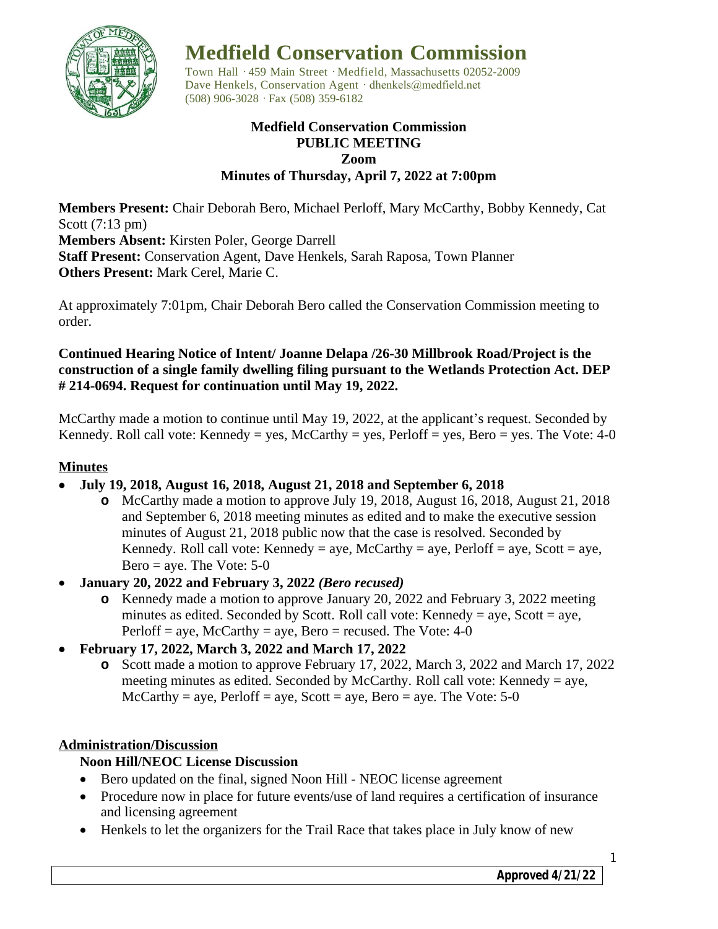

# **Medfield Conservation Commission**

Town Hall · 459 Main Street · Medfield, Massachusetts 02052-2009 Dave Henkels, Conservation Agent · dhenkels@medfield.net (508) 906-3028 ·Fax (508) 359-6182

### **Medfield Conservation Commission PUBLIC MEETING Zoom Minutes of Thursday, April 7, 2022 at 7:00pm**

**Members Present:** Chair Deborah Bero, Michael Perloff, Mary McCarthy, Bobby Kennedy, Cat Scott (7:13 pm) **Members Absent:** Kirsten Poler, George Darrell **Staff Present:** Conservation Agent, Dave Henkels, Sarah Raposa, Town Planner **Others Present:** Mark Cerel, Marie C.

At approximately 7:01pm, Chair Deborah Bero called the Conservation Commission meeting to order.

## **Continued Hearing Notice of Intent/ Joanne Delapa /26-30 Millbrook Road/Project is the construction of a single family dwelling filing pursuant to the Wetlands Protection Act. DEP # 214-0694. Request for continuation until May 19, 2022.**

McCarthy made a motion to continue until May 19, 2022, at the applicant's request. Seconded by Kennedy. Roll call vote: Kennedy = yes, McCarthy = yes, Perloff = yes, Bero = yes. The Vote: 4-0

## **Minutes**

- **July 19, 2018, August 16, 2018, August 21, 2018 and September 6, 2018**
	- **o** McCarthy made a motion to approve July 19, 2018, August 16, 2018, August 21, 2018 and September 6, 2018 meeting minutes as edited and to make the executive session minutes of August 21, 2018 public now that the case is resolved. Seconded by Kennedy. Roll call vote: Kennedy = aye, McCarthy = aye, Perloff = aye, Scott = aye, Bero  $=$  aye. The Vote: 5-0
- **January 20, 2022 and February 3, 2022** *(Bero recused)*
	- **o** Kennedy made a motion to approve January 20, 2022 and February 3, 2022 meeting minutes as edited. Seconded by Scott. Roll call vote: Kennedy = aye, Scott = aye, Perloff = aye, McCarthy = aye, Bero = recused. The Vote:  $4-0$
- **February 17, 2022, March 3, 2022 and March 17, 2022**
	- **o** Scott made a motion to approve February 17, 2022, March 3, 2022 and March 17, 2022 meeting minutes as edited. Seconded by McCarthy. Roll call vote: Kennedy = aye,  $McCarthy = aye$ ,  $Perloff = aye$ ,  $Scott = aye$ ,  $Bero = aye$ . The Vote: 5-0

## **Administration/Discussion**

## **Noon Hill/NEOC License Discussion**

- Bero updated on the final, signed Noon Hill NEOC license agreement
- Procedure now in place for future events/use of land requires a certification of insurance and licensing agreement
- Henkels to let the organizers for the Trail Race that takes place in July know of new

1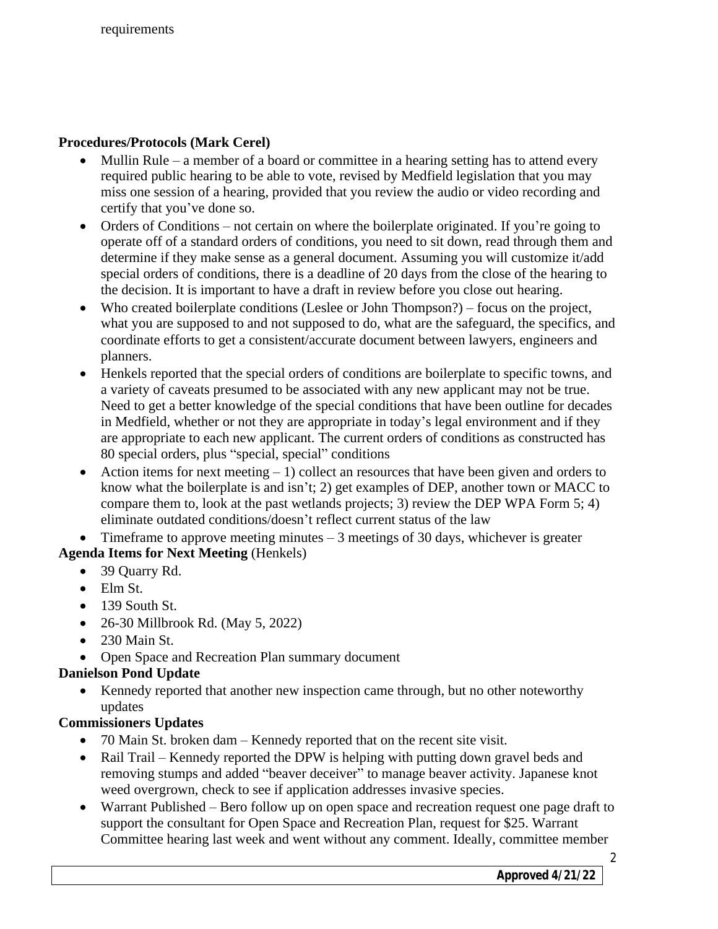## **Procedures/Protocols (Mark Cerel)**

- Mullin Rule a member of a board or committee in a hearing setting has to attend every required public hearing to be able to vote, revised by Medfield legislation that you may miss one session of a hearing, provided that you review the audio or video recording and certify that you've done so.
- Orders of Conditions not certain on where the boilerplate originated. If you're going to operate off of a standard orders of conditions, you need to sit down, read through them and determine if they make sense as a general document. Assuming you will customize it/add special orders of conditions, there is a deadline of 20 days from the close of the hearing to the decision. It is important to have a draft in review before you close out hearing.
- Who created boilerplate conditions (Leslee or John Thompson?) focus on the project, what you are supposed to and not supposed to do, what are the safeguard, the specifics, and coordinate efforts to get a consistent/accurate document between lawyers, engineers and planners.
- Henkels reported that the special orders of conditions are boilerplate to specific towns, and a variety of caveats presumed to be associated with any new applicant may not be true. Need to get a better knowledge of the special conditions that have been outline for decades in Medfield, whether or not they are appropriate in today's legal environment and if they are appropriate to each new applicant. The current orders of conditions as constructed has 80 special orders, plus "special, special" conditions
- Action items for next meeting  $-1$ ) collect an resources that have been given and orders to know what the boilerplate is and isn't; 2) get examples of DEP, another town or MACC to compare them to, look at the past wetlands projects; 3) review the DEP WPA Form 5; 4) eliminate outdated conditions/doesn't reflect current status of the law

Timeframe to approve meeting minutes  $-3$  meetings of 30 days, whichever is greater **Agenda Items for Next Meeting** (Henkels)

- 39 Ouarry Rd.
- Elm St.
- $\bullet$  139 South St.
- 26-30 Millbrook Rd. (May 5, 2022)
- $\bullet$  230 Main St.
- Open Space and Recreation Plan summary document

## **Danielson Pond Update**

 Kennedy reported that another new inspection came through, but no other noteworthy updates

## **Commissioners Updates**

- 70 Main St. broken dam Kennedy reported that on the recent site visit.
- Rail Trail Kennedy reported the DPW is helping with putting down gravel beds and removing stumps and added "beaver deceiver" to manage beaver activity. Japanese knot weed overgrown, check to see if application addresses invasive species.
- Warrant Published Bero follow up on open space and recreation request one page draft to support the consultant for Open Space and Recreation Plan, request for \$25. Warrant Committee hearing last week and went without any comment. Ideally, committee member

*Approved 4/21/22*

2